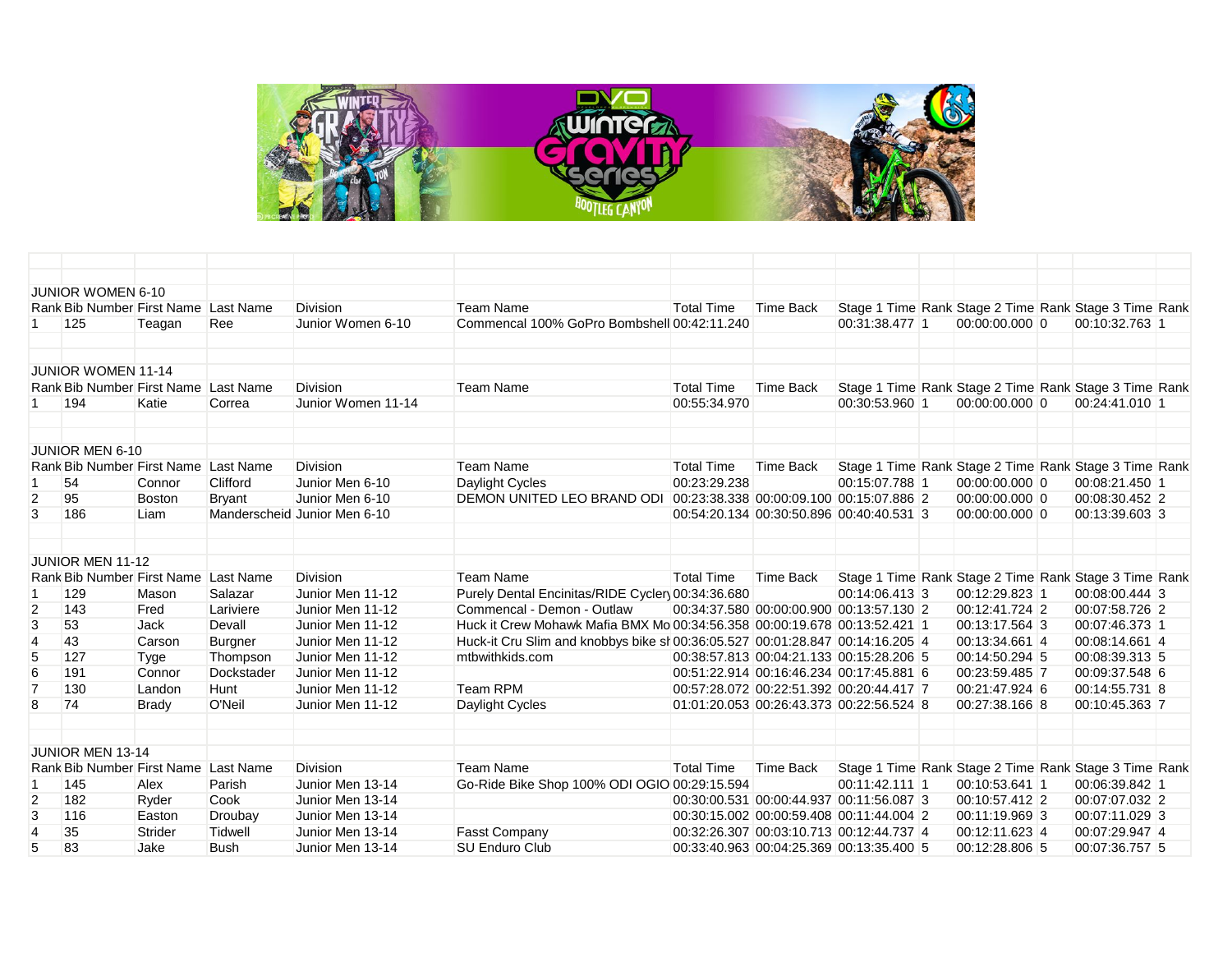

|                | JUNIOR WOMEN 6-10                    |               |                |                              |                                                                               |                   |                                          |                |                                                       |                |  |
|----------------|--------------------------------------|---------------|----------------|------------------------------|-------------------------------------------------------------------------------|-------------------|------------------------------------------|----------------|-------------------------------------------------------|----------------|--|
|                | Rank Bib Number First Name Last Name |               |                | <b>Division</b>              | <b>Team Name</b>                                                              | <b>Total Time</b> | <b>Time Back</b>                         |                | Stage 1 Time Rank Stage 2 Time Rank Stage 3 Time Rank |                |  |
|                | 125                                  | Teagan        | Ree            | Junior Women 6-10            | Commencal 100% GoPro Bombshell 00:42:11.240                                   |                   |                                          | 00:31:38.477 1 | 00:00:00.000 0                                        | 00:10:32.763 1 |  |
|                | <b>JUNIOR WOMEN 11-14</b>            |               |                |                              |                                                                               |                   |                                          |                |                                                       |                |  |
|                | Rank Bib Number First Name Last Name |               |                | Division                     | <b>Team Name</b>                                                              | <b>Total Time</b> | <b>Time Back</b>                         |                | Stage 1 Time Rank Stage 2 Time Rank Stage 3 Time Rank |                |  |
|                | 194                                  | Katie         | Correa         | Junior Women 11-14           |                                                                               | 00:55:34.970      |                                          | 00:30:53.960 1 | 00:00:00.000 0                                        | 00:24:41.010 1 |  |
|                | JUNIOR MEN 6-10                      |               |                |                              |                                                                               |                   |                                          |                |                                                       |                |  |
|                | Rank Bib Number First Name           |               | Last Name      | <b>Division</b>              | <b>Team Name</b>                                                              | <b>Total Time</b> | Time Back                                |                | Stage 1 Time Rank Stage 2 Time Rank Stage 3 Time Rank |                |  |
|                | 54                                   | Connor        | Clifford       | Junior Men 6-10              | Daylight Cycles                                                               | 00:23:29.238      |                                          | 00:15:07.788 1 | 00:00:00.000 0                                        | 00:08:21.450 1 |  |
| $\overline{2}$ | 95                                   | <b>Boston</b> | <b>Bryant</b>  | Junior Men 6-10              | DEMON UNITED LEO BRAND ODI                                                    |                   | 00:23:38.338 00:00:09.100 00:15:07.886 2 |                | 00:00:00.000 0                                        | 00:08:30.452 2 |  |
| 3              | 186                                  | Liam          |                | Manderscheid Junior Men 6-10 |                                                                               |                   | 00:54:20.134 00:30:50.896 00:40:40.531 3 |                | 00:00:00.000 0                                        | 00:13:39.603 3 |  |
|                | <b>JUNIOR MEN 11-12</b>              |               |                |                              |                                                                               |                   |                                          |                |                                                       |                |  |
|                | Rank Bib Number First Name Last Name |               |                | <b>Division</b>              | <b>Team Name</b>                                                              | <b>Total Time</b> | Time Back                                |                | Stage 1 Time Rank Stage 2 Time Rank Stage 3 Time Rank |                |  |
|                | 129                                  | Mason         | Salazar        | Junior Men 11-12             | Purely Dental Encinitas/RIDE Cycler 00:34:36.680                              |                   |                                          | 00:14:06.413 3 | 00:12:29.823 1                                        | 00:08:00.444 3 |  |
| $\overline{c}$ | 143                                  | Fred          | Lariviere      | Junior Men 11-12             | Commencal - Demon - Outlaw                                                    |                   | 00:34:37.580 00:00:00.900 00:13:57.130 2 |                | 00:12:41.724 2                                        | 00:07:58.726 2 |  |
| 3              | 53                                   | <b>Jack</b>   | Devall         | Junior Men 11-12             | Huck it Crew Mohawk Mafia BMX Mo 00:34:56.358 00:00:19.678 00:13:52.421 1     |                   |                                          |                | 00:13:17.564 3                                        | 00:07:46.373 1 |  |
| 4              | 43                                   | Carson        | <b>Burgner</b> | Junior Men 11-12             | Huck-it Cru Slim and knobbys bike si 00:36:05.527 00:01:28.847 00:14:16.205 4 |                   |                                          |                | 00:13:34.661 4                                        | 00:08:14.661 4 |  |
| 5              | 127                                  | Tyge          | Thompson       | Junior Men 11-12             | mtbwithkids.com                                                               |                   | 00:38:57.813 00:04:21.133 00:15:28.206 5 |                | 00:14:50.294 5                                        | 00:08:39.313 5 |  |
| 6              | 191                                  | Connor        | Dockstader     | Junior Men 11-12             |                                                                               |                   | 00:51:22.914 00:16:46.234 00:17:45.881 6 |                | 00:23:59.485 7                                        | 00:09:37.548 6 |  |
| $\overline{7}$ | 130                                  | Landon        | <b>Hunt</b>    | Junior Men 11-12             | <b>Team RPM</b>                                                               |                   | 00:57:28.072 00:22:51.392 00:20:44.417 7 |                | 00:21:47.924 6                                        | 00:14:55.731 8 |  |
| 8              | 74                                   | <b>Brady</b>  | O'Neil         | Junior Men 11-12             | Daylight Cycles                                                               |                   | 01:01:20.053 00:26:43.373 00:22:56.524 8 |                | 00:27:38.166 8                                        | 00:10:45.363 7 |  |
|                | <b>JUNIOR MEN 13-14</b>              |               |                |                              |                                                                               |                   |                                          |                |                                                       |                |  |
|                | Rank Bib Number First Name Last Name |               |                | <b>Division</b>              | <b>Team Name</b>                                                              | <b>Total Time</b> | Time Back                                |                | Stage 1 Time Rank Stage 2 Time Rank Stage 3 Time Rank |                |  |
|                | 145                                  | Alex          | Parish         | Junior Men 13-14             | Go-Ride Bike Shop 100% ODI OGIO 00:29:15.594                                  |                   |                                          | 00:11:42.111 1 | 00:10:53.641 1                                        | 00:06:39.842 1 |  |
| $\overline{2}$ | 182                                  | Ryder         | Cook           | Junior Men 13-14             |                                                                               |                   | 00:30:00.531 00:00:44.937 00:11:56.087 3 |                | 00:10:57.412 2                                        | 00:07:07.032 2 |  |
| 3              | 116                                  | Easton        | Droubay        | Junior Men 13-14             |                                                                               |                   | 00:30:15.002 00:00:59.408 00:11:44.004 2 |                | 00:11:19.969 3                                        | 00:07:11.029 3 |  |
| $\overline{4}$ | 35                                   | Strider       | Tidwell        | Junior Men 13-14             | <b>Fasst Company</b>                                                          |                   | 00:32:26.307 00:03:10.713 00:12:44.737 4 |                | 00:12:11.623 4                                        | 00:07:29.947 4 |  |
| 5              | 83                                   | Jake          | Bush           | Junior Men 13-14             | SU Enduro Club                                                                |                   | 00:33:40.963 00:04:25.369 00:13:35.400 5 |                | 00:12:28.806 5                                        | 00:07:36.757 5 |  |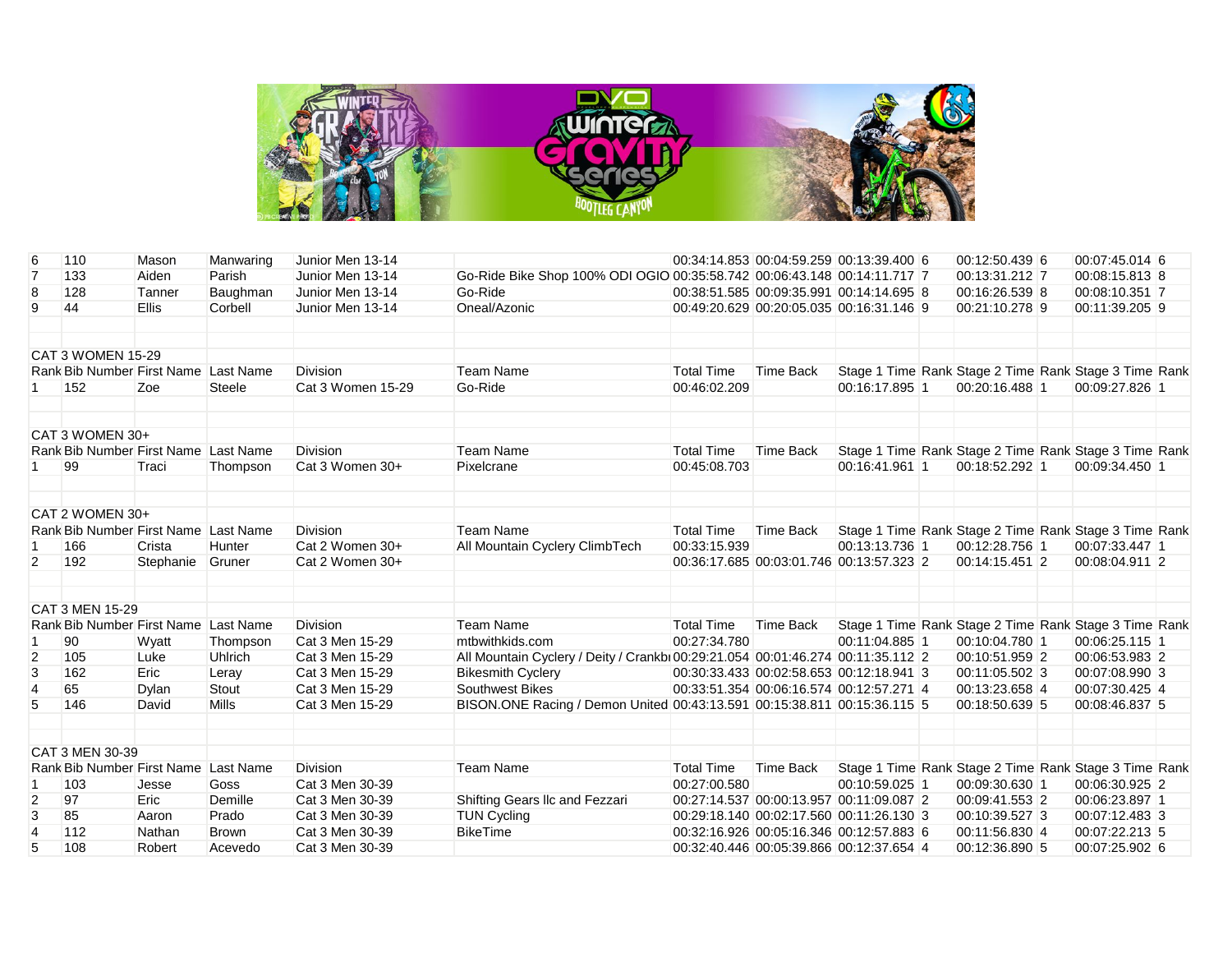

| 6              | 110                                  | Mason        | Manwaring    | Junior Men 13-14  |                                                                                |                   |                  | 00:34:14.853 00:04:59.259 00:13:39.400 6 | 00:12:50.439 6                                        | 00:07:45.014 6 |  |
|----------------|--------------------------------------|--------------|--------------|-------------------|--------------------------------------------------------------------------------|-------------------|------------------|------------------------------------------|-------------------------------------------------------|----------------|--|
| $\overline{7}$ | 133                                  | Aiden        | Parish       | Junior Men 13-14  | Go-Ride Bike Shop 100% ODI OGIO 00:35:58.742 00:06:43.148 00:14:11.717 7       |                   |                  |                                          | 00:13:31.212 7                                        | 00:08:15.813 8 |  |
| 8              | 128                                  | Tanner       | Baughman     | Junior Men 13-14  | Go-Ride                                                                        |                   |                  | 00:38:51.585 00:09:35.991 00:14:14.695 8 | 00:16:26.539 8                                        | 00:08:10.351 7 |  |
| 9              | 44                                   | <b>Ellis</b> | Corbell      | Junior Men 13-14  | Oneal/Azonic                                                                   |                   |                  | 00:49:20.629 00:20:05.035 00:16:31.146 9 | 00:21:10.278 9                                        | 00:11:39.205 9 |  |
|                | <b>CAT 3 WOMEN 15-29</b>             |              |              |                   |                                                                                |                   |                  |                                          |                                                       |                |  |
|                | Rank Bib Number First Name Last Name |              |              | <b>Division</b>   | <b>Team Name</b>                                                               | <b>Total Time</b> | <b>Time Back</b> |                                          | Stage 1 Time Rank Stage 2 Time Rank Stage 3 Time Rank |                |  |
|                | 152                                  | Zoe          | Steele       | Cat 3 Women 15-29 | Go-Ride                                                                        | 00:46:02.209      |                  | 00:16:17.895 1                           | 00:20:16.488 1                                        | 00:09:27.826 1 |  |
|                | CAT 3 WOMEN 30+                      |              |              |                   |                                                                                |                   |                  |                                          |                                                       |                |  |
|                | Rank Bib Number First Name Last Name |              |              | <b>Division</b>   | <b>Team Name</b>                                                               | <b>Total Time</b> | <b>Time Back</b> |                                          | Stage 1 Time Rank Stage 2 Time Rank Stage 3 Time Rank |                |  |
| 1              | 99                                   | Traci        | Thompson     | Cat 3 Women 30+   | Pixelcrane                                                                     | 00:45:08.703      |                  | 00:16:41.961 1                           | 00:18:52.292 1                                        | 00:09:34.450 1 |  |
|                | CAT 2 WOMEN 30+                      |              |              |                   |                                                                                |                   |                  |                                          |                                                       |                |  |
|                | Rank Bib Number First Name Last Name |              |              | Division          | <b>Team Name</b>                                                               | <b>Total Time</b> | <b>Time Back</b> |                                          | Stage 1 Time Rank Stage 2 Time Rank Stage 3 Time Rank |                |  |
| -1             | 166                                  | Crista       | Hunter       | Cat 2 Women 30+   | All Mountain Cyclery ClimbTech                                                 | 00:33:15.939      |                  | 00:13:13.736 1                           | 00:12:28.756 1                                        | 00:07:33.447 1 |  |
| $\overline{2}$ | 192                                  | Stephanie    | Gruner       | Cat 2 Women 30+   |                                                                                |                   |                  | 00:36:17.685 00:03:01.746 00:13:57.323 2 | 00:14:15.451 2                                        | 00:08:04.911 2 |  |
|                | CAT 3 MEN 15-29                      |              |              |                   |                                                                                |                   |                  |                                          |                                                       |                |  |
|                | Rank Bib Number First Name Last Name |              |              | <b>Division</b>   | <b>Team Name</b>                                                               | <b>Total Time</b> | <b>Time Back</b> |                                          | Stage 1 Time Rank Stage 2 Time Rank Stage 3 Time Rank |                |  |
|                | 90                                   | Wyatt        | Thompson     | Cat 3 Men 15-29   | mtbwithkids.com                                                                | 00:27:34.780      |                  | 00:11:04.885 1                           | 00:10:04.780 1                                        | 00:06:25.115 1 |  |
| $\overline{2}$ | 105                                  | Luke         | Uhlrich      | Cat 3 Men 15-29   | All Mountain Cyclery / Deity / Crankb 00:29:21.054 00:01:46.274 00:11:35.112 2 |                   |                  |                                          | 00:10:51.959 2                                        | 00:06:53.983 2 |  |
| 3              | 162                                  | Eric         | Leray        | Cat 3 Men 15-29   | <b>Bikesmith Cyclery</b>                                                       |                   |                  | 00:30:33.433 00:02:58.653 00:12:18.941 3 | 00:11:05.502 3                                        | 00:07:08.990 3 |  |
| $\overline{4}$ | 65                                   | <b>Dylan</b> | Stout        | Cat 3 Men 15-29   | Southwest Bikes                                                                |                   |                  | 00:33:51.354 00:06:16.574 00:12:57.271 4 | 00:13:23.658 4                                        | 00:07:30.425 4 |  |
| 5              | 146                                  | David        | Mills        | Cat 3 Men 15-29   | BISON ONE Racing / Demon United 00:43:13.591 00:15:38.811 00:15:36.115 5       |                   |                  |                                          | 00:18:50.639 5                                        | 00:08:46.837 5 |  |
|                | CAT 3 MEN 30-39                      |              |              |                   |                                                                                |                   |                  |                                          |                                                       |                |  |
|                | Rank Bib Number First Name Last Name |              |              | <b>Division</b>   | <b>Team Name</b>                                                               | <b>Total Time</b> | <b>Time Back</b> |                                          | Stage 1 Time Rank Stage 2 Time Rank Stage 3 Time Rank |                |  |
|                | 103                                  | Jesse        | Goss         | Cat 3 Men 30-39   |                                                                                | 00:27:00.580      |                  | 00:10:59.025 1                           | 00:09:30.630 1                                        | 00:06:30.925 2 |  |
| 2              | 97                                   | Eric         | Demille      | Cat 3 Men 30-39   | Shifting Gears IIc and Fezzari                                                 |                   |                  | 00:27:14.537 00:00:13.957 00:11:09.087 2 | 00:09:41.553 2                                        | 00:06:23.897 1 |  |
| 3              | 85                                   | Aaron        | Prado        | Cat 3 Men 30-39   | <b>TUN Cycling</b>                                                             |                   |                  | 00:29:18.140 00:02:17.560 00:11:26.130 3 | 00:10:39.527 3                                        | 00:07:12.483 3 |  |
| $\overline{4}$ | 112                                  | Nathan       | <b>Brown</b> | Cat 3 Men 30-39   | <b>BikeTime</b>                                                                |                   |                  | 00:32:16.926 00:05:16.346 00:12:57.883 6 | 00:11:56.830 4                                        | 00:07:22.213 5 |  |
| 5              | 108                                  | Robert       | Acevedo      | Cat 3 Men 30-39   |                                                                                |                   |                  | 00:32:40.446 00:05:39.866 00:12:37.654 4 | 00:12:36.890 5                                        | 00:07:25.902 6 |  |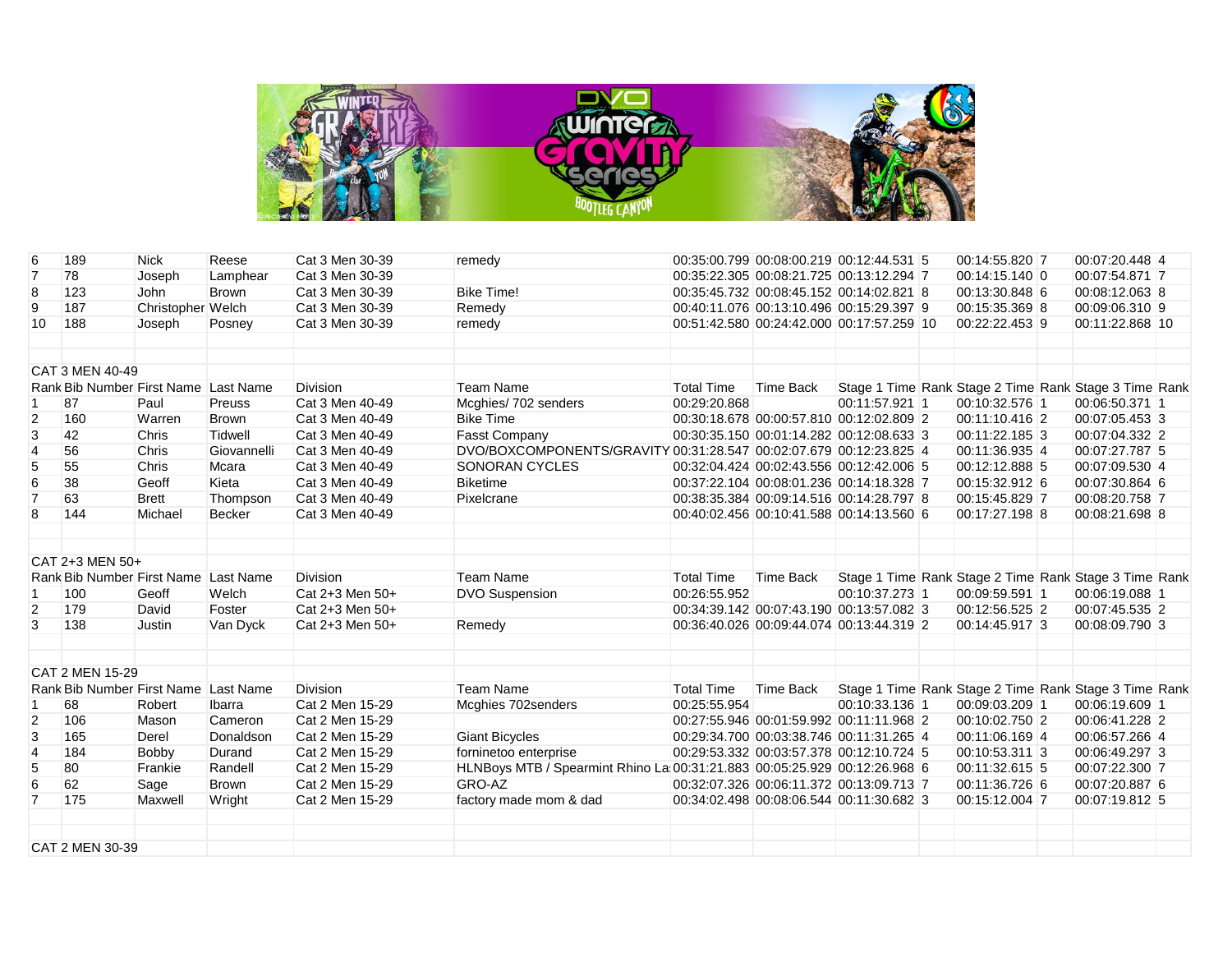

| 6               | 189                                  | <b>Nick</b>       | Reese        | Cat 3 Men 30-39 | remedy                                                                    |                   | 00:35:00.799 00:08:00.219 00:12:44.531 5  |                | 00:14:55.820 7 | 00:07:20.448 4                                        |  |
|-----------------|--------------------------------------|-------------------|--------------|-----------------|---------------------------------------------------------------------------|-------------------|-------------------------------------------|----------------|----------------|-------------------------------------------------------|--|
| $\overline{7}$  | 78                                   | Joseph            | Lamphear     | Cat 3 Men 30-39 |                                                                           |                   | 00:35:22.305 00:08:21.725 00:13:12.294 7  |                | 00:14:15.140 0 | 00:07:54.871 7                                        |  |
| 8               | 123                                  | John              | <b>Brown</b> | Cat 3 Men 30-39 | <b>Bike Time!</b>                                                         |                   | 00:35:45.732 00:08:45.152 00:14:02.821 8  |                | 00:13:30.848 6 | 00:08:12.063 8                                        |  |
| 9               | 187                                  | Christopher Welch |              | Cat 3 Men 30-39 | Remedy                                                                    |                   | 00:40:11.076 00:13:10.496 00:15:29.397 9  |                | 00:15:35.369 8 | 00:09:06.310 9                                        |  |
| 10              | 188                                  | Joseph            | Posney       | Cat 3 Men 30-39 | remedy                                                                    |                   | 00:51:42.580 00:24:42.000 00:17:57.259 10 |                | 00:22:22.453 9 | 00:11:22.868 10                                       |  |
|                 | CAT 3 MEN 40-49                      |                   |              |                 |                                                                           |                   |                                           |                |                |                                                       |  |
|                 | Rank Bib Number First Name Last Name |                   |              | <b>Division</b> | <b>Team Name</b>                                                          | <b>Total Time</b> | <b>Time Back</b>                          |                |                | Stage 1 Time Rank Stage 2 Time Rank Stage 3 Time Rank |  |
| $\overline{1}$  | 87                                   | Paul              | Preuss       | Cat 3 Men 40-49 | Mcghies/702 senders                                                       | 00:29:20.868      |                                           | 00:11:57.921 1 | 00:10:32.576 1 | 00:06:50.371 1                                        |  |
| $\overline{c}$  | 160                                  | Warren            | <b>Brown</b> | Cat 3 Men 40-49 | <b>Bike Time</b>                                                          |                   | 00:30:18.678 00:00:57.810 00:12:02.809 2  |                | 00:11:10.416 2 | 00:07:05.453 3                                        |  |
| 3               | 42                                   | Chris             | Tidwell      | Cat 3 Men 40-49 | <b>Fasst Company</b>                                                      |                   | 00:30:35.150 00:01:14.282 00:12:08.633 3  |                | 00:11:22.185 3 | 00:07:04.332 2                                        |  |
| $\overline{4}$  | 56                                   | Chris             | Giovannelli  | Cat 3 Men 40-49 | DVO/BOXCOMPONENTS/GRAVITY 00:31:28.547 00:02:07.679 00:12:23.825 4        |                   |                                           |                | 00:11:36.935 4 | 00:07:27.787 5                                        |  |
| 5               | 55                                   | Chris             | Mcara        | Cat 3 Men 40-49 | <b>SONORAN CYCLES</b>                                                     |                   | 00:32:04.424 00:02:43.556 00:12:42.006 5  |                | 00:12:12.888 5 | 00:07:09.530 4                                        |  |
| $6\phantom{1}6$ | 38                                   | Geoff             | Kieta        | Cat 3 Men 40-49 | <b>Biketime</b>                                                           |                   | 00:37:22.104 00:08:01.236 00:14:18.328 7  |                | 00:15:32.912 6 | 00:07:30.864 6                                        |  |
| $\overline{7}$  | 63                                   | <b>Brett</b>      | Thompson     | Cat 3 Men 40-49 | Pixelcrane                                                                |                   | 00:38:35.384 00:09:14.516 00:14:28.797 8  |                | 00:15:45.829 7 | 00:08:20.758 7                                        |  |
| 8               | 144                                  | Michael           | Becker       | Cat 3 Men 40-49 |                                                                           |                   | 00:40:02.456 00:10:41.588 00:14:13.560 6  |                | 00:17:27.198 8 | 00:08:21.698 8                                        |  |
|                 | CAT 2+3 MEN 50+                      |                   |              |                 |                                                                           |                   |                                           |                |                |                                                       |  |
|                 | Rank Bib Number First Name Last Name |                   |              | Division        | Team Name                                                                 | <b>Total Time</b> | <b>Time Back</b>                          |                |                | Stage 1 Time Rank Stage 2 Time Rank Stage 3 Time Rank |  |
| -1              | 100                                  | Geoff             | Welch        | Cat 2+3 Men 50+ | <b>DVO Suspension</b>                                                     | 00:26:55.952      |                                           | 00:10:37.273 1 | 00:09:59.591 1 | 00:06:19.088 1                                        |  |
| 2               | 179                                  | David             | Foster       | Cat 2+3 Men 50+ |                                                                           |                   | 00:34:39.142 00:07:43.190 00:13:57.082 3  |                | 00:12:56.525 2 | 00:07:45.535 2                                        |  |
| 3               | 138                                  | Justin            | Van Dyck     | Cat 2+3 Men 50+ | Remedy                                                                    |                   | 00:36:40.026 00:09:44.074 00:13:44.319 2  |                | 00:14:45.917 3 | 00:08:09.790 3                                        |  |
|                 | CAT 2 MEN 15-29                      |                   |              |                 |                                                                           |                   |                                           |                |                |                                                       |  |
|                 | Rank Bib Number First Name Last Name |                   |              | <b>Division</b> | <b>Team Name</b>                                                          | <b>Total Time</b> | Time Back                                 |                |                | Stage 1 Time Rank Stage 2 Time Rank Stage 3 Time Rank |  |
|                 | 68                                   | Robert            | Ibarra       | Cat 2 Men 15-29 | Mcghies 702senders                                                        | 00:25:55.954      |                                           | 00:10:33.136 1 | 00:09:03.209 1 | 00:06:19.609 1                                        |  |
| $\overline{2}$  | 106                                  | Mason             | Cameron      | Cat 2 Men 15-29 |                                                                           |                   | 00:27:55.946 00:01:59.992 00:11:11.968 2  |                | 00:10:02.750 2 | 00:06:41.228 2                                        |  |
| 3               | 165                                  | Derel             | Donaldson    | Cat 2 Men 15-29 | <b>Giant Bicycles</b>                                                     |                   | 00:29:34.700 00:03:38.746 00:11:31.265 4  |                | 00:11:06.169 4 | 00:06:57.266 4                                        |  |
| $\overline{4}$  | 184                                  | Bobby             | Durand       | Cat 2 Men 15-29 | forninetoo enterprise                                                     |                   | 00:29:53.332 00:03:57.378 00:12:10.724 5  |                | 00:10:53.311 3 | 00:06:49.297 3                                        |  |
| 5               | 80                                   | Frankie           | Randell      | Cat 2 Men 15-29 | HLNBoys MTB / Spearmint Rhino La 00:31:21.883 00:05:25.929 00:12:26.968 6 |                   |                                           |                | 00:11:32.615 5 | 00:07:22.300 7                                        |  |
| $6\phantom{1}6$ | 62                                   | Sage              | <b>Brown</b> | Cat 2 Men 15-29 | GRO-AZ                                                                    |                   | 00:32:07.326 00:06:11.372 00:13:09.713 7  |                | 00:11:36.726 6 | 00:07:20.887 6                                        |  |
| $\overline{7}$  | 175                                  | Maxwell           | Wright       | Cat 2 Men 15-29 | factory made mom & dad                                                    |                   | 00:34:02.498 00:08:06.544 00:11:30.682 3  |                | 00:15:12.004 7 | 00:07:19.812 5                                        |  |
|                 |                                      |                   |              |                 |                                                                           |                   |                                           |                |                |                                                       |  |
|                 | CAT 2 MEN 30-39                      |                   |              |                 |                                                                           |                   |                                           |                |                |                                                       |  |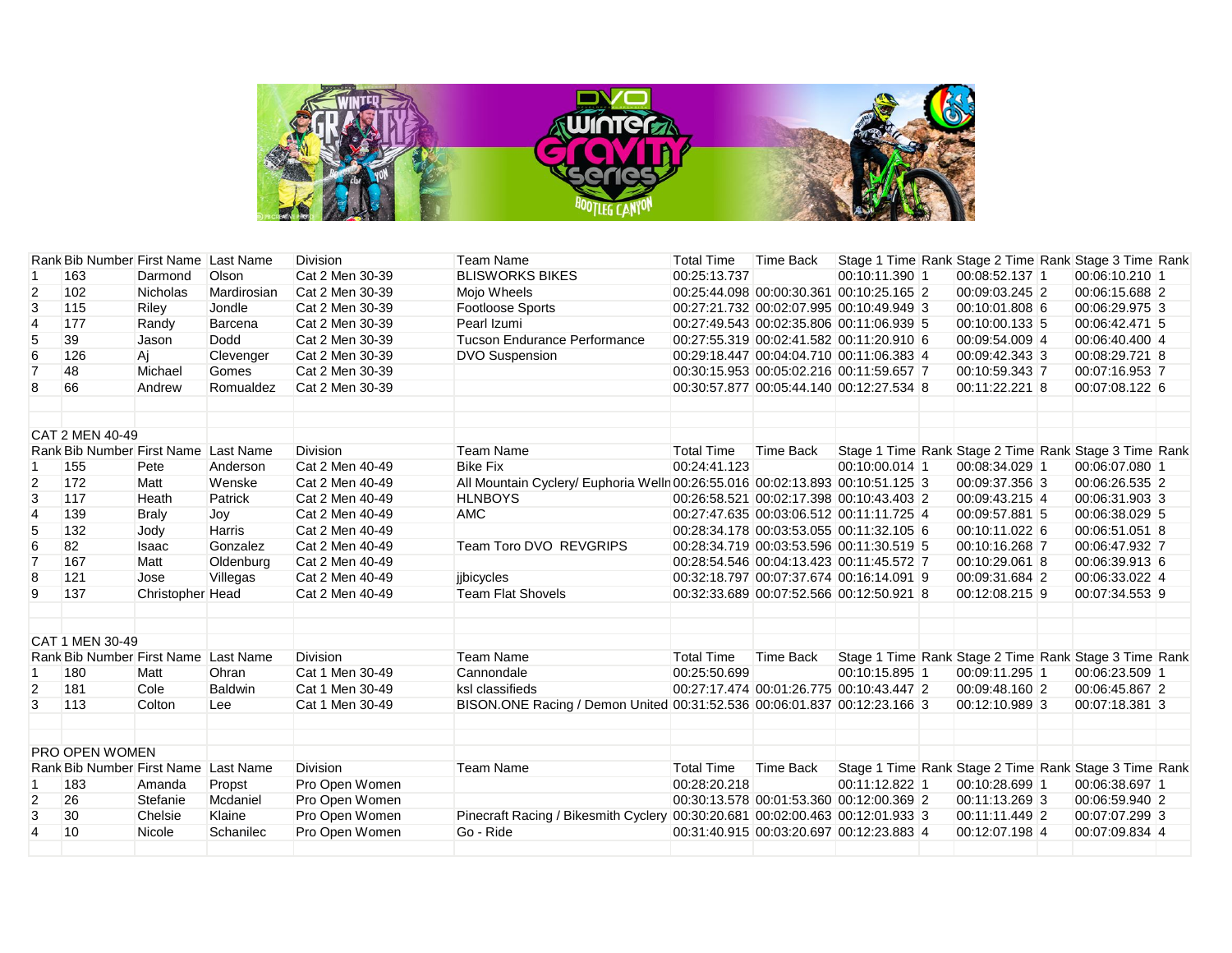

|                 | Rank Bib Number First Name Last Name |                  |             | <b>Division</b> | <b>Team Name</b>                                                              | <b>Total Time</b> | Time Back                                |                |                | Stage 1 Time Rank Stage 2 Time Rank Stage 3 Time Rank |  |
|-----------------|--------------------------------------|------------------|-------------|-----------------|-------------------------------------------------------------------------------|-------------------|------------------------------------------|----------------|----------------|-------------------------------------------------------|--|
|                 | 163                                  | Darmond          | Olson       | Cat 2 Men 30-39 | <b>BLISWORKS BIKES</b>                                                        | 00:25:13.737      |                                          | 00:10:11.390 1 | 00:08:52.137 1 | 00:06:10.210 1                                        |  |
| $\overline{2}$  | 102                                  | Nicholas         | Mardirosian | Cat 2 Men 30-39 | Mojo Wheels                                                                   |                   | 00:25:44.098 00:00:30.361 00:10:25.165 2 |                | 00:09:03.245 2 | 00:06:15.688 2                                        |  |
| 3               | 115                                  | Riley            | Jondle      | Cat 2 Men 30-39 | <b>Footloose Sports</b>                                                       |                   | 00:27:21.732 00:02:07.995 00:10:49.949 3 |                | 00:10:01.808 6 | 00:06:29.975 3                                        |  |
| $\overline{4}$  | 177                                  | Randy            | Barcena     | Cat 2 Men 30-39 | Pearl Izumi                                                                   |                   | 00:27:49.543 00:02:35.806 00:11:06.939 5 |                | 00:10:00.133 5 | 00:06:42.471 5                                        |  |
| 5               | 39                                   | Jason            | Dodd        | Cat 2 Men 30-39 | <b>Tucson Endurance Performance</b>                                           |                   | 00:27:55.319 00:02:41.582 00:11:20.910 6 |                | 00:09:54.009 4 | 00:06:40.400 4                                        |  |
| $6\phantom{1}6$ | 126                                  | Aj               | Clevenger   | Cat 2 Men 30-39 | <b>DVO Suspension</b>                                                         |                   | 00:29:18.447 00:04:04.710 00:11:06.383 4 |                | 00:09:42.343 3 | 00:08:29.721 8                                        |  |
| $\overline{7}$  | 48                                   | Michael          | Gomes       | Cat 2 Men 30-39 |                                                                               |                   | 00:30:15.953 00:05:02.216 00:11:59.657 7 |                | 00:10:59.343 7 | 00:07:16.953 7                                        |  |
| 8               | 66                                   | Andrew           | Romualdez   | Cat 2 Men 30-39 |                                                                               |                   | 00:30:57.877 00:05:44.140 00:12:27.534 8 |                | 00:11:22.221 8 | 00:07:08.122 6                                        |  |
|                 | CAT 2 MEN 40-49                      |                  |             |                 |                                                                               |                   |                                          |                |                |                                                       |  |
|                 | Rank Bib Number First Name Last Name |                  |             | <b>Division</b> | <b>Team Name</b>                                                              | <b>Total Time</b> | Time Back                                |                |                | Stage 1 Time Rank Stage 2 Time Rank Stage 3 Time Rank |  |
|                 | 155                                  | Pete             | Anderson    | Cat 2 Men 40-49 | <b>Bike Fix</b>                                                               | 00:24:41.123      |                                          | 00:10:00.014 1 | 00:08:34.029 1 | 00:06:07.080 1                                        |  |
| $\overline{2}$  | 172                                  | Matt             | Wenske      | Cat 2 Men 40-49 | All Mountain Cyclery/ Euphoria Wellr 00:26:55.016 00:02:13.893 00:10:51.125 3 |                   |                                          |                | 00:09:37.356 3 | 00:06:26.535 2                                        |  |
| 3               | 117                                  | Heath            | Patrick     | Cat 2 Men 40-49 | <b>HLNBOYS</b>                                                                |                   | 00:26:58.521 00:02:17.398 00:10:43.403 2 |                | 00:09:43.215 4 | 00:06:31.903 3                                        |  |
| $\overline{4}$  | 139                                  | <b>Braly</b>     | Joy         | Cat 2 Men 40-49 | <b>AMC</b>                                                                    |                   | 00:27:47.635 00:03:06.512 00:11:11.725 4 |                | 00:09:57.881 5 | 00:06:38.029 5                                        |  |
| 5               | 132                                  | Jody             | Harris      | Cat 2 Men 40-49 |                                                                               |                   | 00:28:34.178 00:03:53.055 00:11:32.105 6 |                | 00:10:11.022 6 | 00:06:51.051 8                                        |  |
| $6\phantom{1}6$ | 82                                   | <b>Isaac</b>     | Gonzalez    | Cat 2 Men 40-49 | Team Toro DVO REVGRIPS                                                        |                   | 00:28:34.719 00:03:53.596 00:11:30.519 5 |                | 00:10:16.268 7 | 00:06:47.932 7                                        |  |
| $\overline{7}$  | 167                                  | Matt             | Oldenburg   | Cat 2 Men 40-49 |                                                                               |                   | 00:28:54.546 00:04:13.423 00:11:45.572 7 |                | 00:10:29.061 8 | 00:06:39.913 6                                        |  |
| 8               | 121                                  | Jose             | Villegas    | Cat 2 Men 40-49 | iibicycles                                                                    |                   | 00:32:18.797 00:07:37.674 00:16:14.091 9 |                | 00:09:31.684 2 | 00:06:33.022 4                                        |  |
| 9               | 137                                  | Christopher Head |             | Cat 2 Men 40-49 | <b>Team Flat Shovels</b>                                                      |                   | 00:32:33.689 00:07:52.566 00:12:50.921 8 |                | 00:12:08.215 9 | 00:07:34.553 9                                        |  |
|                 | CAT 1 MEN 30-49                      |                  |             |                 |                                                                               |                   |                                          |                |                |                                                       |  |
|                 | Rank Bib Number First Name Last Name |                  |             | <b>Division</b> | <b>Team Name</b>                                                              | <b>Total Time</b> | <b>Time Back</b>                         |                |                | Stage 1 Time Rank Stage 2 Time Rank Stage 3 Time Rank |  |
| -1              | 180                                  | Matt             | Ohran       | Cat 1 Men 30-49 | Cannondale                                                                    | 00:25:50.699      |                                          | 00:10:15.895 1 | 00:09:11.295 1 | 00:06:23.509 1                                        |  |
| 2               | 181                                  | Cole             | Baldwin     | Cat 1 Men 30-49 | ksl classifieds                                                               |                   | 00:27:17.474 00:01:26.775 00:10:43.447 2 |                | 00:09:48.160 2 | 00:06:45.867 2                                        |  |
| 3               | 113                                  | Colton           | Lee         | Cat 1 Men 30-49 | BISON.ONE Racing / Demon United 00:31:52.536 00:06:01.837 00:12:23.166 3      |                   |                                          |                | 00:12:10.989 3 | 00:07:18.381 3                                        |  |
|                 | <b>PRO OPEN WOMEN</b>                |                  |             |                 |                                                                               |                   |                                          |                |                |                                                       |  |
|                 | Rank Bib Number First Name Last Name |                  |             | <b>Division</b> | <b>Team Name</b>                                                              | <b>Total Time</b> | <b>Time Back</b>                         |                |                | Stage 1 Time Rank Stage 2 Time Rank Stage 3 Time Rank |  |
| -1              | 183                                  | Amanda           | Propst      | Pro Open Women  |                                                                               | 00:28:20.218      |                                          | 00:11:12.822 1 | 00:10:28.699 1 | 00:06:38.697 1                                        |  |
| $\overline{2}$  | 26                                   | Stefanie         | Mcdaniel    | Pro Open Women  |                                                                               |                   | 00:30:13.578 00:01:53.360 00:12:00.369 2 |                | 00:11:13.269 3 | 00:06:59.940 2                                        |  |
| 3               | 30                                   | Chelsie          | Klaine      | Pro Open Women  | Pinecraft Racing / Bikesmith Cyclery 00:30:20.681 00:02:00.463 00:12:01.933 3 |                   |                                          |                | 00:11:11.449 2 | 00:07:07.299 3                                        |  |
| $\overline{4}$  | 10                                   | Nicole           | Schanilec   | Pro Open Women  | Go - Ride                                                                     |                   | 00:31:40.915 00:03:20.697 00:12:23.883 4 |                | 00:12:07.198 4 | 00:07:09.834 4                                        |  |
|                 |                                      |                  |             |                 |                                                                               |                   |                                          |                |                |                                                       |  |